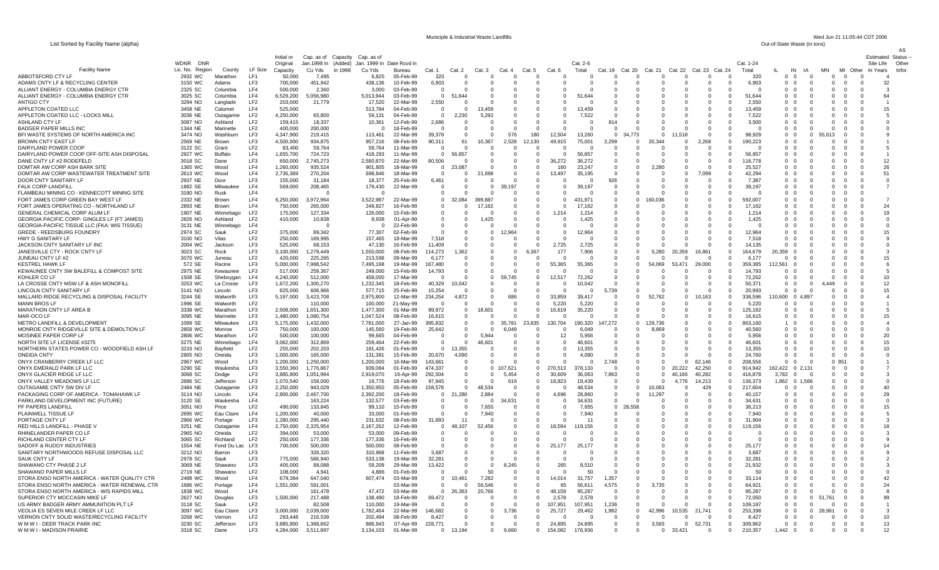List Sorted by Facility Name (alpha)

Municiple & Industrial Waste Landfills Wed Jun 21 11:05:44 CDT 2006<br>Out-of-State Waste (in tons)

|                                                                              |                           |                      |                                    | Initial or             |                      | Cap. as of Capacity Cap. as of |                        |                        |                       |                      |                                     |                       |                         |                      |                    |                            |          |          |                              |                    |                                              |                                                           |                |                                                          |                    | Status<br>Estimated    |
|------------------------------------------------------------------------------|---------------------------|----------------------|------------------------------------|------------------------|----------------------|--------------------------------|------------------------|------------------------|-----------------------|----------------------|-------------------------------------|-----------------------|-------------------------|----------------------|--------------------|----------------------------|----------|----------|------------------------------|--------------------|----------------------------------------------|-----------------------------------------------------------|----------------|----------------------------------------------------------|--------------------|------------------------|
|                                                                              | <b>WDNR</b><br><b>DNR</b> |                      |                                    | Original               | Jan. 1998 In         | (Added) Jan. 1999 In           |                        | Date Rcvd in           |                       |                      |                                     |                       |                         |                      | Cat. 2-6           |                            |          |          |                              |                    | Cat. 1-24                                    |                                                           |                |                                                          |                    | Site Life<br>Othe      |
| Facility Name                                                                | Lic. No. Region           | County               | LF Size                            | Capacity               | Cu Yds               | in 1998<br>Cu Yds              |                        | Bureau                 | Cat. 1                | Cat. 2               | Cat.3                               | Cat.                  | Cat. 5                  | $Cat. f$             | Total              | Cat. 19                    | Cat. 20  | Cat. 21  | Cat. 22                      | Cat. 23<br>Cat.    | Total                                        | IN                                                        |                | MN                                                       | MI Other           | Infor<br>Years         |
| ABBOTSFORD CTY LF<br>ADAMS CNTY LF & RECYCLING CENTER                        | 2932 WC<br>3150 WC        | Marathon<br>Adams    | LF1<br>LF3                         | 50,000<br>700,000      | 7.495<br>451,942     |                                | 6.825<br>438,136       | 05-Feb-99<br>10-Feb-99 | 320<br>6,903          | - 0<br>$\Omega$      | $\Omega$<br>$\Omega$                |                       | - 0<br>$\Omega$         | $\Omega$<br>$\Omega$ | $\cap$<br>-0       | 0<br>$\Omega$              |          | n<br>O   | $\Omega$<br>$^{\circ}$       | $\Omega$<br>- 0    | 320<br>0<br>6,903<br>$\Omega$                | $\Omega$<br>$\Omega$<br>$\Omega$<br>- 0                   |                | $\overline{0}$<br>$\Omega$<br>$\overline{0}$<br>$\Omega$ | - 0                | 32                     |
| ALLIANT ENERGY - COLUMBIA ENERGY CTR                                         | 2325 SC                   | Columbia             | LF4                                | 500,000                | 2.360                |                                | 3.000                  | $03-Feb-99$            | $\Omega$              | $\Omega$             | - 0                                 |                       | $\Omega$                | - 0                  |                    | -0                         | - 0      | n        | <sup>0</sup>                 | റ                  | $\Omega$<br>$\Omega$                         | $\Omega$<br>- 0                                           |                | $\Omega$<br>$\Omega$                                     | $\Omega$           | -3                     |
| ALLIANT ENERGY - COLUMBIA ENERGY CTR                                         | 3025 SC                   | Columbia             | LF4                                | 6,529,200              | 056,980              |                                | 5.013.944              | 03-Feb-99              | $\Omega$              | 644                  | - 0                                 | $\mathbf{u}$          | $\Omega$                | $\Omega$             | 51 644             | $\Omega$                   |          | O        | $\Omega$                     | $\Omega$           | 51 644<br>$\Omega$                           | റ റ                                                       |                | $\Omega$<br>$\Omega$                                     | $\Omega$           | 64                     |
| <b>ANTIGO CTY</b>                                                            | 3294 NO                   | Langlade             | LF <sub>2</sub>                    | 203,000                | 21,779               |                                | 17,520                 | 22-Mar-99              | 2,550                 | - 0                  | - 0                                 | - 0                   | 0                       | - 0                  | 13 459             | $\Omega$                   |          | n<br>n   | <sup>0</sup><br><sup>n</sup> |                    | 2.550<br>$\Omega$<br>13 459                  | 0 0<br>0 O                                                |                | $\Omega$<br>$\Omega$<br>$\Omega$                         | - 0<br>$\cap$      |                        |
| APPLETON COATED LLC<br>APPLETON COATED LLC - LOCKS MILL                      | 3458 NE<br>3036 NE        | Calumet<br>Outagamie | LF4<br>LF <sub>2</sub>             | 525,000<br>4,250,000   | 65,800               |                                | 513,784<br>59,131      | 04-Feb-99<br>04-Feb-99 | $\Omega$<br>$\Omega$  | $\Omega$<br>2,230    | 13,459<br>5,292                     | $\Omega$<br>- 0       | $\Omega$<br>0           | $\cap$<br>- 0        | 7,522              | $\Omega$<br>$\Omega$       |          |          |                              | - 61               | $\Omega$<br>7.522<br>0                       | 0 0                                                       |                | $\Omega$<br>$\Omega$<br>- 0                              | - 0                | 15                     |
| ASHLAND CTY LF                                                               | 3087 NO                   | Ashland              | LF <sub>2</sub>                    | 159,415                | 18,337               |                                | 10,361                 | 12-Feb-99              | 2,686                 | $\cap$               | - 0                                 |                       | $\Omega$                | $\cap$               | - 0                | 814                        |          |          |                              | - 61               | 3,500<br>$\Omega$                            | 0 O                                                       |                | $\Omega$<br>$\Omega$                                     | - 0                |                        |
| <b>BADGER PAPER MILLS INC</b>                                                | 1344 NE                   | Marinette            | LF <sub>2</sub>                    | 400.000                | 200,000              |                                |                        | 18-Feb-99              | $\Omega$              | - 0                  | - 0                                 |                       |                         | $\Omega$             | - 0                | $\Omega$                   |          | n        |                              | $\Omega$           | $\Omega$<br>- 0                              | 0 0                                                       |                | $\Omega$<br>$\Omega$                                     | - 0                |                        |
| BFI WASTE SYSTEMS OF NORTH AMERICA INC                                       | 3474 NO                   | Washburn             | LF3                                | 4,347,900              | 219.415              |                                | 113,461                | 22-Mar-99              | 39,378                | $\cap$               | - 0                                 | 576                   | 180                     | 12,504               | 13,260             | $\Omega$                   | 34.773   | 0        |                              | $\Omega$           | 98,929<br>$\Omega$                           | റ റ                                                       | $^{\prime}$    | $\Omega$<br>613                                          | $\cap$             |                        |
| <b>BROWN CNTY EAST LF</b><br>DAIRYLAND POWER COOP                            | 2569 NE<br>3122 SC        | Brown<br>Grant       | LF3<br>LF <sub>2</sub>             | 4,500,000<br>83,400    | 934,875<br>59,764    |                                | 957,216<br>59.764      | 08-Feb-99<br>11-Mar-99 | 90,311<br>$\Omega$    | 61<br>$\Omega$       | 10,367<br>- 0                       | 2,528<br>$\mathbf{u}$ | 12,130<br>$\Omega$      | 49,915<br>$\Omega$   | 75,001<br>$\Omega$ | 2.299<br>$\Omega$          |          | 20.344   |                              | 2,268<br>- 0       | 190,223<br>$\Omega$<br>$\Omega$<br>-0        | 0 0<br>0 0                                                |                | $\Omega$<br>$\Omega$<br>$\Omega$<br>$\Omega$             | - 0<br>$\Omega$    |                        |
| DAIRYLAND POWER COOP OFF-SITE ASH DISPOSAL                                   | 2927 WC                   | <b>Buffalo</b>       | LF4                                | 1,655,700              | 724,723              |                                | 418,293                | 11-Mar-99              | $\Omega$              | 56.857               | - 0                                 | - 0                   | $\Omega$                | $\cap$               | 56,857             | $\Omega$                   |          | n        | <sup>0</sup>                 | $\Omega$           | 56.857<br>$\Omega$                           | 0 0                                                       |                | $\Omega$<br>$\Omega$                                     | - 0                |                        |
| DANE CNTY LF #2 RODEFELD                                                     | 3018 SC                   | Dane                 | LF3                                | 650,000                | 2,745,273            |                                | 2,580,870              | 22-Mar-99              | 80,506                | $\cap$               | - 0                                 | $\mathbf{u}$          | $\Omega$                | .272                 | 36,272             | $\Omega$                   |          |          | $^{(1)}$                     | $\Omega$           | 116,778<br>$\Omega$                          | 0 <sub>0</sub>                                            |                | $\Omega$<br>$\Omega$                                     | $\Omega$           | 12                     |
| DOMTAR AW CORP ASH BARK SITE                                                 | 1365 WC                   | Wood                 | LF4                                | 1,260,000              | 935,524              |                                | 901,805                | 18-Mar-99              | $\Omega$              | 23,087               |                                     | - 0                   | $\Omega$                | 160                  | 23.247             | $\Omega$                   |          | 2.280    | $\Omega$                     | $\Omega$           | 25.527<br>$\Omega$                           | 0 0                                                       |                | $\Omega$<br>$\Omega$                                     | - 0                | 26                     |
| DOMTAR AW CORP WASTEWATER TREATMENT SITE<br>DOOR CNTY SANITARY LF            | 2613 WC<br>2937 NE        | Wood<br>Door         | LF4<br>LF3                         | 2,736,369<br>155,000   | 270,204<br>31.184    |                                | 698.846<br>18,377      | 18-Mar-99<br>25-Feb-99 | $\Omega$<br>6,461     | $\Omega$<br>$\Omega$ | ,698<br>- 0                         | $\Omega$              | $\Omega$<br>$\Omega$    | 13,497<br>$\Omega$   | 35,195             | $\Omega$<br>926            |          |          | 0                            | 7,099<br>- 0       | 42.294<br>$\Omega$<br>7.387<br>$\Omega$      | 0 0<br>0 0                                                |                | $\Omega$<br>$\Omega$<br>$\Omega$<br>$\Omega$             | - 0                | 51<br>$\Omega$         |
| FALK CORP LANDFILL                                                           | 1882 SE                   | Milwaukee            | LF4                                | 569,000                | 208,465              |                                | 179,430                | 22-Mar-99              | $\Omega$              | $\Omega$             | - 0                                 | 197                   | $\Omega$                | $\Omega$             | 39.197             | $\Omega$                   |          |          | $^{\circ}$                   | $\Omega$           | 39,197<br>$\Omega$                           | 0 0                                                       |                | $\Omega$<br>$\Omega$                                     | $\Omega$           |                        |
| FLAMBEAU MINING CO - KENNECOTT MINING SITE                                   | 3180 NO                   | Rusk                 | LF4                                |                        | $\Omega$             |                                |                        |                        | $\Omega$              |                      |                                     |                       | 0                       | $\Omega$             | - 0                | $\Omega$                   |          |          |                              |                    | $\Omega$<br>ſ                                | $\Omega$<br>- 0                                           |                | $\Omega$<br>$\Omega$                                     |                    |                        |
| FORT JAMES CORP GREEN BAY WEST LF                                            | 2332 NE                   | Brown                | LF4                                | 6,250,000              | 3,972,964            |                                | 3,522,987              | 22-Mar-99              | $\mathbf 0$           | 32.084               | 399.887                             | - 0                   | 0                       | 0                    | 431,971            | $\mathbf 0$                |          |          | <sup>0</sup>                 |                    | 592,007<br>$\Omega$                          | $0\quad 0$                                                |                | $\Omega$<br>$\Omega$                                     |                    |                        |
| FORT JAMES OPERATING CO - NORTHLAND LF                                       | 2893 NE                   | <b>Brown</b>         | LF4                                | 750.000                | 265,000              |                                | 249,827                | 16-Feb-99              | $\Omega$              | $\Omega$             | 17.162                              | $\Omega$              | $\Omega$                | $\Omega$             | 17.162             | $\Omega$                   |          |          | <sup>0</sup>                 | n                  | 17.162<br>$\Omega$                           | $\Omega$<br>- 0                                           |                | $\Omega$<br>$\Omega$                                     | - 0                | 24                     |
| GENERAL CHEMICAL CORP ALUM LF<br>GEORGIA PACIFIC CORP- GINGLES LF (FT JAMES) | 1907 NE<br>2826 NO        | Winnebago<br>Ashland | LF <sub>2</sub><br>LF <sub>2</sub> | 175,000<br>410,000     | 127,334<br>10,838    |                                | 126,000<br>8.938       | 15-Feb-99<br>01-Apr-99 | $\Omega$<br>$\Omega$  | 0<br>$\Omega$        | - 0<br>.425                         | - 0<br>- 0            | 0<br>$\Omega$           | 1.214<br>$\Omega$    | 1,214<br>1,425     | $\Omega$<br>$\Omega$       |          | n        |                              |                    | $\Omega$<br>1.214<br>1,425<br>$\Omega$       | $\Omega$<br>- 0<br>$\Omega$<br>- 0                        |                | $\Omega$<br>$\Omega$<br>$\Omega$<br>$\Omega$             | - 0<br>- 0         | 19<br>$\Omega$         |
| GEORGIA-PACIFIC TISSUE LLC (FKA: WIS TISSUE)                                 | 3131 NE                   | Winnebago            | LF4                                |                        | - 0                  |                                |                        | 22-Feb-99              | -0                    | $\Omega$             | - 0                                 |                       | 0                       | - 0                  | - 0                | $\Omega$                   |          | n        | <sup>0</sup>                 |                    | 0<br>ſ                                       | $^{\circ}$<br>- 0                                         |                | $\Omega$<br>$\Omega$                                     | - 0                | $\Omega$               |
| <b>GREDE - REEDSBURG FOUNDRY</b>                                             | 2974 SC                   | Sauk                 | LF <sub>2</sub>                    | 375,000                | 89,342               |                                | 77,307                 | 02-Feb-99              | $\Omega$              | 0                    | $^{\circ}$                          | 964                   | 0                       | - 0                  | 12,964             | $\Omega$                   |          |          |                              |                    | 12.964<br>$\Omega$                           | $\Omega$<br>- 0                                           |                | $\Omega$<br>$\Omega$                                     | - 0                | 15                     |
| HWY G SANITARY LF                                                            | 3100 NO                   | Vilas                | LF <sub>2</sub>                    | 250,000                | 169,995              |                                | 157,465                | 18-Mar-99              | 7,518                 | 0                    | - 0                                 |                       | 0                       | $\Omega$             | $\Omega$           | 0                          |          | 0        |                              |                    | 7.518<br>$\Omega$                            | $\mathbf 0$<br>- 0                                        |                | $\Omega$<br>$\Omega$                                     |                    |                        |
| JACKSON CNTY SANITARY LF INC                                                 | 2004 WC                   | Jackson              | LF3<br>LF3                         | 525,000                | 68.153               |                                | 47,130                 | 16-Feb-99              | 11,409                |                      | $\Omega$                            | $\Omega$<br>- 0       |                         | 2,725                | 2,725              | $\Omega$                   |          |          |                              |                    | 14.135<br>$\Omega$                           | $\Omega$<br>$\Omega$                                      |                | $\Omega$<br>$\Omega$<br>$\Omega$                         |                    | $\Omega$               |
| JANESVILLE CTY - ROCK CNTY LF<br>JUNEAU CNTY LF #2                           | 3023 SC<br>3070 WC        | Rock<br>Juneau       | LF <sub>2</sub>                    | 3,100,000<br>420,000   | 1,279,449<br>225,265 |                                | 1,550,000<br>213,598   | 08-Feb-99<br>09-Mar-99 | 114,273<br>6,177      | .362                 | 0<br>$\Omega$                       |                       |                         | 177<br>$\Omega$      | 7,906              | 0<br>$\Omega$              |          | 5.280    | ,359                         | 16,861<br>$\Omega$ | 164.679<br>0<br>6,177<br>$\Omega$            | 359<br>$\Omega$<br>$\Omega$                               |                | $\Omega$<br>$\Omega$<br>$\Omega$                         |                    | 15                     |
| <b>KESTREL HAWK LF</b>                                                       | 572 SE                    | Racine               | LF3                                | 5,000,000              | 7.988.542            |                                | 7,495,198              | 19-Mar-99              | 167.480               | - 0                  | - 0                                 | - 0                   | -0                      | ,365                 | 55.365             | 0                          |          | .069     | 53                           | 29,000             | $\mathbf{0}$<br>359.385                      | 561<br>- 0                                                |                | $\Omega$<br>$\Omega$                                     | - 0                | 6                      |
| KEWAUNEE CNTY SW BALEFILL & COMPOST SITE                                     | 2975 NE                   | Kewaunee             | LF3                                | 517,000                | 259,367              |                                | 249,000                | 15-Feb-99              | 14,793                | $\Omega$             | $\Omega$                            |                       | $\Omega$                | $\Omega$             | $\cap$             | $\Omega$                   |          |          |                              | $\Omega$           | 14.793<br>$\Omega$                           | $\Omega$<br>- 0                                           |                | $\Omega$<br>$\Omega$                                     |                    |                        |
| KOHLER CO LF                                                                 | 1508 SE                   | Sheboygan            | LF4                                | 4,240,000              | 512,000              |                                | 458,000                | 17-Mar-99              | $\Omega$              |                      | - 0                                 | '45                   | 0                       | 12.517               | 72,262             | - 0                        |          |          |                              | $\Omega$           | $\Omega$<br>72,262                           | $\mathbf 0$<br>- 0                                        |                | $\Omega$<br>$\Omega$                                     | - 0                | 10                     |
| LA CROSSE CNTY MSW LF & ASH MONOFILL<br>LINCOLN CNTY SANITARY LF             | 3253 WC<br>3141 NO        | La Crosse<br>Lincoln | LF3<br>LF3                         | 1,672,200<br>825,000   | 1,300,270<br>606,966 |                                | 1,232,345<br>577,715   | 18-Feb-99<br>25-Feb-99 | 40,329<br>15,254      | 0.042<br>- 0         | - 0                                 | $\Omega$              | $\Omega$<br>0           | $\Omega$<br>- 0      | 10,042<br>- 0      | $\Omega$<br>5.739          |          |          | $\Omega$                     | $\Omega$           | 50.37<br>$\Omega$<br>20,993<br>$\Omega$      | 0<br>$\Omega$<br>$\mathbf 0$<br>$^{\circ}$                |                | 149<br>$\Omega$<br>$\Omega$<br>$\Omega$                  | $\cap$             | 12<br>15               |
| MALLARD RIDGE RECYCLING & DISPOSAL FACILITY                                  | 3244 SE                   | Walworth             | LF3                                | 5,197,000              | 3,423,708            |                                | 2,975,800              | 12-Mar-99              | 234,254               | 4.872                | $\Omega$                            | 686                   | 0                       | 33.859               | 39.417             | $\Omega$                   |          | 62       | $\Omega$                     | 163                | 336,596<br>$\Omega$                          | 600<br>$\Omega$                                           | 4.897          | $\Omega$<br>$\Omega$                                     |                    |                        |
| <b>MANN BROS LF</b>                                                          | 1996 SE                   | Walworth             | LF <sub>2</sub>                    |                        | 110,000              |                                | 100,000                | 21-May-99              | $\Omega$              | $\Omega$             | $\Omega$                            | $\Omega$              | $\Omega$                | 5,220                | 5,220              | $\Omega$                   |          |          |                              |                    | 5,220<br>$\Omega$                            | $0\quad 0$                                                |                | $\Omega$<br>$\Omega$                                     | $\Omega$           |                        |
| MARATHON CNTY LF AREA B                                                      | 3338 WC                   | Marathon             | LF3                                | 2,508,000              | 1,651,300            |                                | 1,477,300              | 01-Mar-99              | 89,972                | 0                    | .601                                | $\Omega$              | $\Omega$                | 16,619               | 35,220             | $\Omega$                   |          |          |                              |                    | 125,192<br>$\Omega$                          | $\Omega$<br>$\Omega$                                      |                | $\Omega$<br>$\Omega$                                     | $\cap$             |                        |
| MAR-OCO LF                                                                   | 3095 NE                   | Marinette            | LF3<br>LF3                         | 1,480,000              | ,080,754             |                                | 1,047,524              | 08-Feb-99              | 16,615                | 0                    | $\Omega$                            |                       | $\Omega$                | $\Omega$<br>130      | $\cap$             |                            | $\Omega$ | 129.736  | $\Omega$                     |                    | 16,615<br>$\Omega$<br>0                      | $\mathbf 0$<br>0<br>$\blacktriangleleft$<br>$^{\circ}$    |                | $\Omega$<br>$\Omega$<br>$\Omega$<br>$\Omega$             | $\Omega$<br>$\cap$ | 15<br>$\boldsymbol{A}$ |
| METRO LANDFILL & DEVELOPMENT<br>MONROE CNTY RIDGEVILLE SITE & DEMOLTION LF   | 1099 SE<br>2858 WC        | Milwaukee<br>Monroe  | LF3                                | 5,175,000<br>750,000   | ,432,000<br>193,000  |                                | 7,781,000<br>145,560   | 27-Jan-99<br>19-Feb-99 | 395,832<br>25,642     | 0<br>0               | $\overline{\mathbf{0}}$<br>$\Omega$ | ,781<br>049           | 23,835<br>$\Omega$      | 704<br>0             | 190,320<br>6,049   | .272<br>$\mathbf 0$        |          |          | $\Omega$                     |                    | 863,160<br>40,560<br>$\Omega$                | $0\quad 0$                                                |                | $\Omega$<br>$\Omega$                                     |                    | $\Omega$               |
| MOSINEE PAPER CORP LF                                                        | 2806 WC                   | Marathon             | LF <sub>2</sub>                    | 500,000                | 100,000              |                                | 99,665                 | 04-Feb-99              | $\mathbf 0$           | 0                    | 5.944                               |                       | 0                       | 12                   | 5,956              | $\mathbf 0$                |          |          |                              |                    | 5,956<br>$\Omega$                            | $^{\circ}$<br>$^{\circ}$                                  |                | $\Omega$<br>$\Omega$                                     | $\cap$             | 20                     |
| NORTH SITE LF LICENSE #3275                                                  | 3275 NE                   | Winnebago            | LF4                                | 3,062,000              | 312,869              |                                | 259,464                | 22-Feb-99              | $^{\circ}$            | $\Omega$             | 46.601                              | $\Omega$              | 0                       | 0                    | 46,601             | $\Omega$                   |          | $\Omega$ | $\Omega$                     |                    | 46,601<br>$\Omega$                           | $^{\circ}$<br>- 0                                         |                | $\Omega$<br>$\Omega$                                     | $\Omega$           | 15                     |
| NORTHERN STATES POWER CO - WOODFIELD ASH LF                                  | 3233 NO                   | Bayfield             | LF <sub>2</sub>                    | 255,000                | 202,203              |                                | 181,426                | 01-Feb-99              | $\mathbf{0}$          | .355                 | $\Omega$                            |                       | $\mathbf 0$             | 0                    | 13,355             | $\mathbf 0$                |          | $\Omega$ | $\Omega$                     |                    | 13,355<br>$\Omega$                           | $^{\circ}$<br>$\overline{0}$                              |                | $\mathbf 0$<br>$\Omega$                                  |                    | 10                     |
| <b>ONEIDA CNTY</b><br>ONYX CRANBERRY CREEK LF LLC                            | 2805 NO<br>2967 WC        | Oneida<br>Wood       | LF3<br>LF3                         | 1,000,000<br>1,200,000 | 165,000<br>,250,000  |                                | 131,381<br>1,200,000   | 15-Feb-99<br>16-Mar-99 | 20,670<br>143,661     | 4,090<br>$\Omega$    | $\Omega$<br>$\Omega$                |                       | $\Omega$<br>$\Omega$    | $\Omega$<br>$\Omega$ | 4.090              | 2.748                      |          | $\Omega$ |                              | 62.146             | 24,760<br>$\Omega$<br>208,556<br>$\mathbf 0$ | $\mathbf 0$<br>$^{\circ}$<br>$^{\circ}$<br>$\overline{0}$ |                | $\Omega$<br>$\Omega$<br>$\Omega$<br>851                  | $\Omega$<br>0      |                        |
| ONYX EMERALD PARK LF LLC                                                     | 3290 SE                   | Waukesha             | LF3                                | 3,550,360              | 1,776,867            |                                | 939,084                | 01-Feb-99              | 474,337               | 0                    | $^{\circ}$                          | 621                   | 0                       | 270<br>.513          | 378.133            | $\Omega$                   |          | $\Omega$ |                              | 42,250             | 914,942<br>0                                 | 422                                                       | 0 <sub>2</sub> | 0<br>$\Omega$                                            | $\Omega$           |                        |
| ONYX GLACIER RIDGE LF LLC                                                    | 3068 SC                   | Dodge                | LF3                                | 3,885,800              | ,051,994             |                                | 2,919,070              | 16-Apr-99              | 292.504               | $^{\circ}$           | $\overline{0}$                      | 5.454                 | $\mathbf 0$             | 30.609               | 36.063             | 7.863                      |          |          |                              | 40,282             | 416,878<br>$\mathbf 0$                       | 3,782<br>$^{\circ}$                                       |                | $\mathbf 0$<br>$\overline{0}$                            |                    |                        |
| ONYX VALLEY MEADOWS LF LLC                                                   | 2686 SC                   | Jefferson            | LF3                                | 1,070,540              | 159,000              |                                | 19,776                 | 18-Feb-99              | 97,945                | 0                    |                                     | 616                   | $\mathbf 0$             | 18,823               | 19,439             | $\mathbf 0$                | $\Omega$ |          |                              | 14,213             | 136,373<br>$\mathbf{0}$                      | 1.862<br>$\mathbf 0$                                      | .566           | $\Omega$<br>$\Omega$                                     | $\Omega$           |                        |
| OUTAGAMIE CNTY SW DIV LF<br>PACKAGING CORP OF AMERICA - TOMAHAWK LF          | 2484 NE<br>3114 NO        | Outagamie<br>Lincoln | LF3<br>LF4                         | 2,250,000<br>2,800,000 | 943,029<br>2,467,700 |                                | 1,350,950<br>2,392,200 | 05-Feb-99<br>18-Feb-99 | 158,578<br>$^{\circ}$ | $\mathbf{0}$<br>.280 | 534<br>2,884                        | $\Omega$              | $\mathbf 0$<br>0        | 0<br>4.696           | 48,534<br>28,860   | $\mathbf 0$<br>$\mathbf 0$ |          | 1.297    | 0                            | 429<br>$\Omega$    | 217,604<br>$\mathbf 0$<br>40,157<br>0        | $^{\circ}$<br>$\overline{0}$<br>0<br>- 0                  |                | $\mathbf 0$<br>$\overline{0}$<br>$\Omega$<br>$\Omega$    | $\Omega$           | 40<br>29               |
| PARKLAND DEVELOPMENT INC (FUTURE)                                            | 3120 SE                   | Waukesha             | LF4                                |                        | 163.224              |                                | 132,577                | 03-Feb-99              | $^{\circ}$            | $\mathbf{0}$         | $\mathbf{0}$                        | 631                   | $\mathbf 0$             | 0                    | 34.631             | $^{\circ}$                 |          |          | $\Omega$                     |                    | 34,631<br>$\mathbf 0$                        | $\mathbf 0$<br>$\mathbf 0$                                |                | $\Omega$<br>$\Omega$                                     |                    | $\mathbf 0$            |
| PF PAPERS LANDFILL                                                           | 3051 NO                   | Price                | LF <sub>2</sub>                    | 490.000                | 133.845              |                                | 99.110                 | 15-Feb-99              | $\Omega$              | $\Omega$             | 7.655                               |                       | $\Omega$                | $\Omega$             | 7,655              | $\Omega$                   | 558      |          |                              |                    | $\Omega$<br>36.213                           | $\Omega$<br>$\Omega$                                      |                | $\Omega$<br>$\Omega$                                     |                    | 15                     |
| PLAINWELL TISSUE LF                                                          | 2695 WC                   | Eau Claire           | LF4                                | 1,200,000              | 40,000               |                                | 33,000                 | 01-Feb-99              | $^{\circ}$            | 0                    | 7.940                               |                       | $\mathbf 0$             | 0                    | 7,940              | $\mathbf 0$                |          |          |                              |                    | $\mathbf 0$<br>7.940                         | $\mathbf 0$<br>$\mathbf 0$                                |                | 0<br>$\Omega$                                            |                    |                        |
| PORTAGE CNTY LF<br>RED HILLS LANDFILL - PHASE \                              | 2966 WC<br>3251 NE        | Portage              | LF3<br>LF4                         | 1.280.000              | 295,440<br>2,325,954 |                                | 231,632<br>2,167,262   | 08-Feb-99              | 31,893<br>$^{\circ}$  | 107                  | .456                                |                       | $\Omega$<br>$\mathbf 0$ | $\Omega$<br>.594     | 9.156              | $\Omega$                   |          |          |                              |                    | $\Omega$<br>31.904<br>$\mathbf 0$            | $\Omega$<br>$\Omega$<br>$\mathbf 0$                       |                | $\Omega$<br>$\Omega$<br>0<br>$\Omega$                    |                    | 18                     |
| RHINELANDER PAPER CO LF                                                      | 2965 NC                   | Outagamie<br>Oneida  | LF <sub>2</sub>                    | 2,750,000<br>394,000   | 53,000               |                                | 53,000                 | 12-Feb-99<br>09-Feb-99 | $\Omega$              |                      |                                     |                       |                         |                      |                    |                            |          |          |                              |                    | 119,156                                      | $\Omega$<br>$\Omega$                                      |                | $\Omega$<br>$\Omega$                                     |                    |                        |
| RICHLAND CENTER CTY LF                                                       | 3065 SC                   | Richland             | LF <sub>2</sub>                    | 250,000                | 177,336              |                                | 177,336                | 16-Feb-99              | $^{\circ}$            |                      |                                     |                       | $\Omega$                | $\Omega$             |                    |                            |          |          |                              |                    | $\mathbf 0$<br>$\Omega$                      | $\mathbf 0$                                               |                | $\Omega$<br>$\Omega$                                     |                    |                        |
| SADOFF & RUDOY INDUSTRIES                                                    | 1554 NE                   | Fond Du L            | LF3                                | 700,000                | 500.000              |                                | 500,000                | 08-Feb-99              |                       | $\Omega$             | $\Omega$                            |                       | $\Omega$                |                      | 25,177             | $\Omega$                   |          |          |                              |                    | $\Omega$<br>25.177                           | $\Omega$<br>$\Omega$                                      |                | $\Omega$<br>$\Omega$                                     |                    | 14                     |
| SANITARY NORTHWOODS REFUSE DISPOSAL LLC                                      | 3212 NO                   | Barron               | LF3                                |                        | 328,320              |                                | 310,968                | 11-Feb-99              | 3.687                 | $\Omega$             | $\Omega$                            |                       |                         | 0                    | $\Omega$           | $\Omega$                   |          |          |                              |                    | $\mathbf 0$<br>3.687                         | $\mathbf 0$<br>$\mathbf 0$                                |                | $\Omega$<br>$\Omega$                                     |                    |                        |
| SAUK CNTY LE<br>SHAWANO CTY PHASE 2 LF                                       | 2978 SC<br>3069 NE        | Sauk<br>Shawano      | LF <sub>3</sub><br>LF3             | 775,000<br>405,000     | 586.940<br>88,088    |                                | 533,138<br>59,209      | 19-Mar-99<br>29-Mar-99 | 32.281<br>13,422      | $\Omega$<br>$\Omega$ | $\Omega$<br>- 0                     | 245                   | $\Omega$                | $\Omega$<br>265      | $\Omega$<br>8.510  | $\Omega$<br>$\Omega$       |          |          |                              |                    | $\Omega$<br>32.281<br>21,932<br>$\Omega$     | $\Omega$<br>$\Omega$<br>$\Omega$<br>- 0                   |                | $\Omega$<br>$\Omega$<br>$\Omega$<br>$\Omega$             | $\Omega$           |                        |
| SHAWANO PAPER MILLS LF                                                       | 2719 NE                   | Shawano              | LF <sub>2</sub>                    | 108,000                | 4.941                |                                | 4.886                  | 01-Feb-99              | $\Omega$              | $\Omega$             | 50                                  |                       | $\Omega$                | $\Omega$             | 50                 |                            |          |          |                              |                    | $\Omega$<br>50                               | $\Omega$<br>$\Omega$                                      |                | $\Omega$                                                 |                    |                        |
| STORA ENSO NORTH AMERICA - WATER QUALITY CTR                                 | 2488 WC                   | Wood                 | LF4                                | 679,384                | 647,040              |                                | 607,474                | 03-Mar-99              | $\mathbf{0}$          | .461                 | 7,282                               | $\Omega$              | $\Omega$                |                      | 31.757             | 1.357                      |          |          |                              |                    | 33.114<br>$\Omega$                           | $\Omega$<br>$\Omega$                                      |                | $\Omega$<br>$\Omega$                                     |                    | 42                     |
| STORA ENSO NORTH AMERICA - WATER RENEWAL CTR                                 | 1686 WC                   | Portage              | LF4                                | 1,551,000              | 591.001              |                                |                        | 03-Mar-99              | $\Omega$              |                      | 56.546                              |                       | $\Omega$                | 65                   | 56.611             | 4.575                      |          |          |                              |                    | 64.92                                        | $\Omega$<br>$\Omega$                                      |                |                                                          |                    | 24                     |
| STORA ENSO NORTH AMERICA - WIS RAPIDS MILL                                   | 1838 WC                   | Wood                 | LF4                                |                        | 161,478              |                                | 47.472                 | 03-Mar-99              | $\Omega$              | .363                 | 20,766                              |                       | $\Omega$                | 48.158               | 95.287             | $\Omega$                   |          |          |                              |                    | 95.287                                       | $\Omega$<br>$\Omega$                                      |                |                                                          |                    |                        |
| SUPERIOR CTY MOCCASIN MIKE LP<br>US ARMY BADGER ARMY AMMUNITION PLT LF       | 2627 NO<br>3118 SC        | Douglas<br>Sauk      | LF3<br>LF <sub>2</sub>             | 1,500,000              | 217,488<br>82,508    |                                | 138.490<br>110,000     | 18-Feb-99<br>19-Mar-99 | 69.472                | 0                    | $\Omega$<br>$\Omega$                |                       | $\Omega$<br>$\Omega$    | 2.578<br>107,951     | 2.578<br>107,951   | $\Omega$<br>1,236          |          |          |                              |                    | 72.050<br>109,187<br>$\Omega$                | $\Omega$<br>$\Omega$<br>$\Omega$<br>- 0                   |                | $\Omega$<br>$\Omega$                                     |                    | 99                     |
| VEOLIA ES SEVEN MILE CREEK LF LLC                                            | 3097 WC                   | Eau Claire           | LF3                                | 3,000,000              | 2,039,000            |                                | 1,782,464              | 22-Mar-99              | 46.682                | $\Omega$             | $\Omega$                            | 736                   | $\Omega$                | 25.727               | 29,462             | 1,982                      |          | 42.996   | 10.535                       | 21.741             | 253.398<br>$\Omega$                          | $\Omega$<br>- 0                                           |                | $\Omega$                                                 | $\Omega$           |                        |
| VERNON CNTY SOLID WASTE/RECYCLING FACILITY                                   | 3268 WC                   | Vernon               | LF <sub>2</sub>                    | 283,448                | 216,539              |                                | 202,494                | 08-Feb-99              | 8.427                 | 0                    | $\Omega$                            |                       | $\Omega$                | $\Omega$             | $\Omega$           | $\Omega$                   |          | $\Omega$ | $\Omega$                     | $\Omega$           | $\Omega$<br>8,427                            | $\Omega$<br>$\Omega$                                      |                | $\Omega$<br>$\Omega$                                     | $\Omega$           | 10                     |
| W M W I - DEER TRACK PARK INC                                                | 3230 SC                   | Jefferson            | LF3                                | 3,885,800              | 1,368,862            |                                | 886,943                | 07-Apr-99              | 228,771               | $\Omega$             | $\Omega$                            | $\Omega$              | $\Omega$                | 24 895               | 24,895             | $\Omega$                   |          | 3,565    | $\Omega$                     | 52,731             | 309,962<br>$\Omega$                          | $\Omega$<br><u>ິດ</u>                                     | $\Omega$       | $\Omega$<br>$\Omega$                                     | $\Omega$           | 13                     |
| W M W I - MADISON PRAIRIE                                                    | 3318 SC                   | Dane                 | LF3                                | 4,284,000              | 3.511.897            |                                | 3,134,103              | 01-Mar-99              |                       |                      |                                     | 9.660                 |                         | 154.082              | 176.936            |                            |          | $\Omega$ | 33.421                       |                    | $\Omega$<br>210.357                          | $1.442 \quad 0$                                           |                | $\Omega$                                                 |                    |                        |